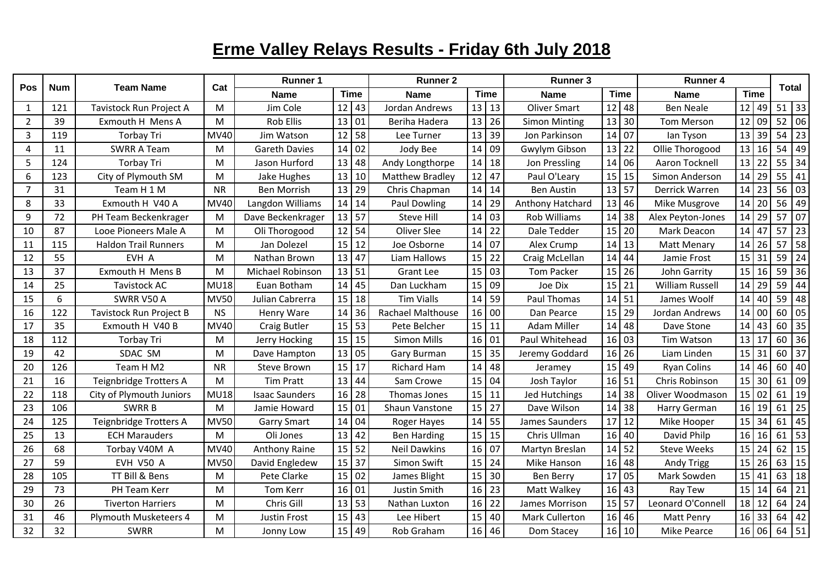## **Erme Valley Relays Results - Friday 6th July 2018**

| <b>Pos</b>     | <b>Num</b>       | <b>Team Name</b>            | Cat         | <b>Runner 1</b>            |    | <b>Runner 2</b> |                     |       | <b>Runner 3</b> |                      |                 | <b>Runner 4</b> |                    |             | <b>Total</b> |      |         |
|----------------|------------------|-----------------------------|-------------|----------------------------|----|-----------------|---------------------|-------|-----------------|----------------------|-----------------|-----------------|--------------------|-------------|--------------|------|---------|
|                |                  |                             |             | <b>Time</b><br><b>Name</b> |    | <b>Name</b>     | <b>Time</b>         |       | <b>Name</b>     | <b>Time</b>          |                 | <b>Name</b>     |                    | <b>Time</b> |              |      |         |
| -1             | 121              | Tavistock Run Project A     | M           | Jim Cole                   | 12 | 43              | Jordan Andrews      | 13 13 |                 | <b>Oliver Smart</b>  |                 | $12$ 48         | <b>Ben Neale</b>   | 12          | 49           |      | $51$ 33 |
| $\overline{2}$ | 39               | Exmouth H Mens A            | M           | <b>Rob Ellis</b>           | 13 | 01              | Beriha Hadera       | 13    | 26              | <b>Simon Minting</b> |                 | 13 30           | Tom Merson         | 12          | 09           |      | 52 06   |
| 3              | 119              | <b>Torbay Tri</b>           | MV40        | Jim Watson                 | 12 | 58              | Lee Turner          | 13    | 39              | Jon Parkinson        |                 | 14 07           | lan Tyson          | 13          | 39           | 54   | 23      |
| 4              | 11               | <b>SWRR A Team</b>          | M           | <b>Gareth Davies</b>       | 14 | 02              | Jody Bee            | 14    | 09              | Gwylym Gibson        | 13              | 22              | Ollie Thorogood    | 13          | 16           | 54   | 49      |
| 5              | 124              | <b>Torbay Tri</b>           | M           | Jason Hurford              | 13 | 48              | Andy Longthorpe     | 14    | 18              | Jon Pressling        |                 | 14 06           | Aaron Tocknell     | 13          | 22           |      | $55$ 34 |
| 6              | 123              | City of Plymouth SM         | M           | Jake Hughes                | 13 | 10              | Matthew Bradley     | 12    | 47              | Paul O'Leary         | 15              | 15              | Simon Anderson     | 14          | 29           | 55   | 41      |
| $\overline{7}$ | 31               | Team H 1 M                  | <b>NR</b>   | <b>Ben Morrish</b>         | 13 | 29              | Chris Chapman       | 14    | 14              | <b>Ben Austin</b>    |                 | $13$ 57         | Derrick Warren     | 14          | 23           |      | 56 03   |
| 8              | 33               | Exmouth H V40 A             | MV40        | Langdon Williams           |    | $14$ 14         | Paul Dowling        | 14    | 29              | Anthony Hatchard     |                 | 13 46           | Mike Musgrove      | 14          | 20           |      | 56 49   |
| 9              | 72               | PH Team Beckenkrager        | M           | Dave Beckenkrager          | 13 | 57              | <b>Steve Hill</b>   | 14    | 03              | Rob Williams         | 14              | 38              | Alex Peyton-Jones  | 14          | 29           | 57   | 07      |
| 10             | 87               | Looe Pioneers Male A        | M           | Oli Thorogood              | 12 | 54              | Oliver Slee         | 14    | 22              | Dale Tedder          | 15              | 20              | Mark Deacon        | 14          | 47           |      | $57$ 23 |
| 11             | 115              | <b>Haldon Trail Runners</b> | M           | Jan Dolezel                | 15 | 12              | Joe Osborne         | 14    | 07              | Alex Crump           | 14              | 13              | Matt Menary        | 14          | 26           | 57   | 58      |
| 12             | 55               | EVH A                       | M           | Nathan Brown               | 13 | 47              | Liam Hallows        | 15    | 22              | Craig McLellan       |                 | 14 44           | Jamie Frost        | 15          | 31           | 59   | 24      |
| 13             | 37               | Exmouth H Mens B            | M           | Michael Robinson           |    | $13 \mid 51$    | <b>Grant Lee</b>    | 15    | 03              | <b>Tom Packer</b>    |                 | $15$   26       | John Garrity       | 15          | 16           |      | 59 36   |
| 14             | 25               | <b>Tavistock AC</b>         | <b>MU18</b> | Euan Botham                | 14 | 45              | Dan Luckham         | 15    | 09              | Joe Dix              | 15              | 21              | William Russell    | 14          | 29           | 59   | 44      |
| 15             | $\boldsymbol{6}$ | SWRR V50 A                  | <b>MV50</b> | Julian Cabrerra            | 15 | 18              | <b>Tim Vialls</b>   | 14    | 59              | Paul Thomas          |                 | $14$ 51         | James Woolf        | 14          | 40           | 59   | 48      |
| 16             | 122              | Tavistock Run Project B     | <b>NS</b>   | Henry Ware                 | 14 | 36              | Rachael Malthouse   | 16    | 00              | Dan Pearce           | 15 <sup>1</sup> | 29              | Jordan Andrews     | 14          | $00\,$       | 60   | 05      |
| 17             | 35               | Exmouth H V40 B             | MV40        | Craig Butler               | 15 | 53              | Pete Belcher        | 15    | 11              | <b>Adam Miller</b>   |                 | 14 48           | Dave Stone         | 14          | 43           |      | $60$ 35 |
| 18             | 112              | <b>Torbay Tri</b>           | M           | Jerry Hocking              | 15 | 15              | <b>Simon Mills</b>  | 16    | 01              | Paul Whitehead       |                 | 16 03           | Tim Watson         | 13          | 17           |      | 60 36   |
| 19             | 42               | SDAC SM                     | M           | Dave Hampton               | 13 | 05              | Gary Burman         | 15    | 35              | Jeremy Goddard       | 16              | 26              | Liam Linden        | 15          | 31           |      | $60$ 37 |
| 20             | 126              | Team H M2                   | <b>NR</b>   | Steve Brown                | 15 | 17              | Richard Ham         | 14    | 48              | Jeramey              | 15              | 49              | <b>Ryan Colins</b> | 14          | 46           | 60 l | 40      |
| 21             | 16               | Teignbridge Trotters A      | M           | <b>Tim Pratt</b>           | 13 | 44              | Sam Crowe           | 15    | 04              | Josh Taylor          |                 | $16$ 51         | Chris Robinson     | 15          | 30           | 61   | 09      |
| 22             | 118              | City of Plymouth Juniors    | <b>MU18</b> | <b>Isaac Saunders</b>      | 16 | 28              | Thomas Jones        | 15    | 11              | Jed Hutchings        |                 | 14 38           | Oliver Woodmason   | 15          | 02           | 61   | 19      |
| 23             | 106              | <b>SWRRB</b>                | M           | Jamie Howard               | 15 | 01              | Shaun Vanstone      | 15    | 27              | Dave Wilson          |                 | $14$ 38         | Harry German       | 16          | 19           | 61   | 25      |
| 24             | 125              | Teignbridge Trotters A      | <b>MV50</b> | <b>Garry Smart</b>         | 14 | 04              | Roger Hayes         | 14    | 55              | James Saunders       | 17 <sup>1</sup> | 12              | Mike Hooper        | 15          | 34           | 61   | 45      |
| 25             | 13               | <b>ECH Marauders</b>        | M           | Oli Jones                  | 13 | 42              | <b>Ben Harding</b>  | 15    | 15              | Chris Ullman         |                 | 16 40           | David Philp        | 16          | 16           | 61   | 53      |
| 26             | 68               | Torbay V40M A               | MV40        | Anthony Raine              | 15 | 52              | <b>Neil Dawkins</b> | 16    | 07              | Martyn Breslan       |                 | $14$ 52         | <b>Steve Weeks</b> | 15          | 24           | 62   | 15      |
| 27             | 59               | <b>EVH V50 A</b>            | <b>MV50</b> | David Engledew             | 15 | 37              | Simon Swift         | 15    | 24              | Mike Hanson          |                 | $16$ 48         | Andy Trigg         | 15          | 26           |      | 63   15 |
| 28             | 105              | TT Bill & Bens              | M           | Pete Clarke                | 15 | 02              | James Blight        | 15    | 30              | <b>Ben Berry</b>     |                 | $17$ 05         | Mark Sowden        | 15          | 41           |      | $63$ 18 |
| 29             | 73               | PH Team Kerr                | M           | Tom Kerr                   | 16 | 01              | Justin Smith        | 16    | 23              | Matt Walkey          | 16 <sup>1</sup> | 43              | Ray Tew            | 15          | 14           | 64   | 21      |
| 30             | 26               | <b>Tiverton Harriers</b>    | M           | Chris Gill                 | 13 | 53              | Nathan Luxton       | 16    | 22              | James Morrison       |                 | $15$   57       | Leonard O'Connell  | 18          | 12           | 64   | 24      |
| 31             | 46               | Plymouth Musketeers 4       | M           | Justin Frost               | 15 | 43              | Lee Hibert          | 15    | 40              | Mark Cullerton       |                 | $16$ 46         | Matt Penry         | 16          | 33           | 64   | 42      |
| 32             | 32               | <b>SWRR</b>                 | M           | Jonny Low                  | 15 | 49              | Rob Graham          | 16    | 46              | Dom Stacey           |                 | $16$   10       | Mike Pearce        | 16          | 06           |      | $64$ 51 |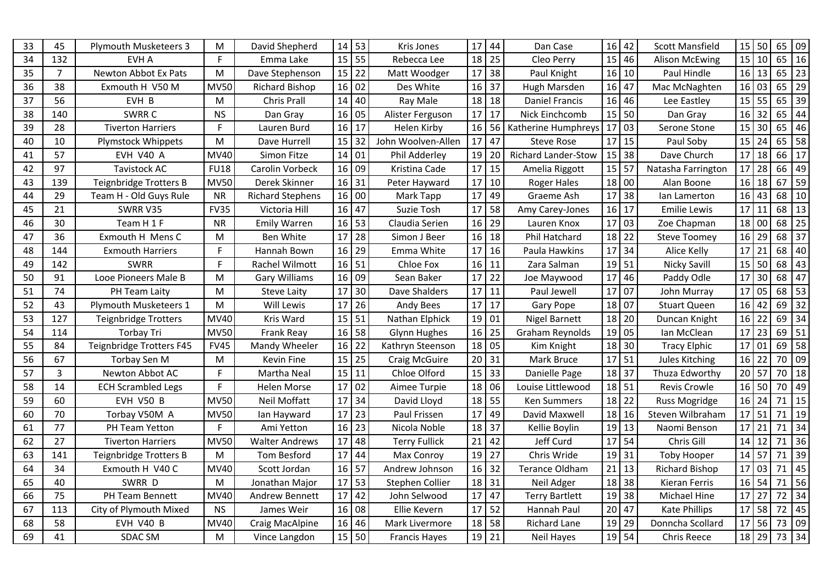| 33 | 45             | <b>Plymouth Musketeers 3</b> | М           | David Shepherd          | 14 | 53        | Kris Jones           | 17 | 44 | Dan Case                   | 16 | 42        | Scott Mansfield      | 15 | 50 | 65 | 09                                |
|----|----------------|------------------------------|-------------|-------------------------|----|-----------|----------------------|----|----|----------------------------|----|-----------|----------------------|----|----|----|-----------------------------------|
| 34 | 132            | EVH A                        | F           | Emma Lake               | 15 | 55        | Rebecca Lee          | 18 | 25 | Cleo Perry                 |    | 15 46     | Alison McEwing       | 15 | 10 |    | $65$ 16                           |
| 35 | $\overline{7}$ | Newton Abbot Ex Pats         | M           | Dave Stephenson         | 15 | 22        | Matt Woodger         | 17 | 38 | Paul Knight                |    | 16 10     | Paul Hindle          | 16 | 13 | 65 | 23                                |
| 36 | 38             | Exmouth H V50 M              | <b>MV50</b> | Richard Bishop          | 16 | 02        | Des White            | 16 | 37 | Hugh Marsden               |    | $16$ 47   | Mac McNaghten        | 16 | 03 | 65 | 29                                |
| 37 | 56             | EVH B                        | M           | <b>Chris Prall</b>      | 14 | 40        | Ray Male             | 18 | 18 | <b>Daniel Francis</b>      |    | 16 46     | Lee Eastley          | 15 | 55 | 65 | $\begin{array}{c} 39 \end{array}$ |
| 38 | 140            | SWRR C                       | <b>NS</b>   | Dan Gray                | 16 | 05        | Alister Ferguson     | 17 | 17 | Nick Einchcomb             |    | 15 50     | Dan Gray             | 16 | 32 | 65 | 44                                |
| 39 | 28             | <b>Tiverton Harriers</b>     | F           | Lauren Burd             | 16 | 17        | Helen Kirby          | 16 | 56 | Katherine Humphreys        | 17 | 03        | Serone Stone         | 15 | 30 | 65 | 46                                |
| 40 | 10             | Plymstock Whippets           | M           | Dave Hurrell            | 15 | 32        | John Woolven-Allen   | 17 | 47 | <b>Steve Rose</b>          | 17 | 15        | Paul Soby            | 15 | 24 | 65 | 58                                |
| 41 | 57             | EVH V40 A                    | <b>MV40</b> | Simon Fitze             | 14 | 01        | Phil Adderley        | 19 | 20 | <b>Richard Lander-Stow</b> | 15 | 38        | Dave Church          | 17 | 18 | 66 | 17                                |
| 42 | 97             | <b>Tavistock AC</b>          | <b>FU18</b> | Carolin Vorbeck         | 16 | 09        | Kristina Cade        | 17 | 15 | Amelia Riggott             | 15 | 57        | Natasha Farrington   | 17 | 28 | 66 | 49                                |
| 43 | 139            | Teignbridge Trotters B       | <b>MV50</b> | Derek Skinner           | 16 | 31        | Peter Hayward        | 17 | 10 | <b>Roger Hales</b>         |    | $18$ 00   | Alan Boone           | 16 | 18 | 67 | $\vert$ 59                        |
| 44 | 29             | Team H - Old Guys Rule       | <b>NR</b>   | <b>Richard Stephens</b> | 16 | 00        | Mark Tapp            | 17 | 49 | Graeme Ash                 | 17 | 38        | Ian Lamerton         | 16 | 43 | 68 | 10                                |
| 45 | 21             | SWRR V35                     | <b>FV35</b> | Victoria Hill           | 16 | 47        | Suzie Tosh           | 17 | 58 | Amy Carey-Jones            | 16 | 17        | Emilie Lewis         | 17 | 11 | 68 | $\vert$ 13                        |
| 46 | 30             | Team H 1 F                   | <b>NR</b>   | <b>Emily Warren</b>     | 16 | 53        | Claudia Serien       | 16 | 29 | Lauren Knox                | 17 | 03        | Zoe Chapman          | 18 | 00 | 68 | 25                                |
| 47 | 36             | Exmouth H Mens C             | м           | Ben White               | 17 | 28        | Simon J Beer         | 16 | 18 | Phil Hatchard              | 18 | 22        | <b>Steve Toomey</b>  | 16 | 29 | 68 | $\begin{array}{c} 37 \end{array}$ |
| 48 | 144            | <b>Exmouth Harriers</b>      | F           | Hannah Bown             | 16 | 29        | Emma White           | 17 | 16 | Paula Hawkins              | 17 | 34        | Alice Kelly          | 17 | 21 | 68 | 40                                |
| 49 | 142            | <b>SWRR</b>                  | F           | Rachel Wilmott          | 16 | 51        | Chloe Fox            | 16 | 11 | Zara Salman                | 19 | 51        | Nicky Savill         | 15 | 50 | 68 | 43                                |
| 50 | 91             | Looe Pioneers Male B         | м           | <b>Gary Williams</b>    | 16 | 09        | Sean Baker           | 17 | 22 | Joe Maywood                | 17 | 46        | Paddy Odle           | 17 | 30 | 68 | 47                                |
| 51 | 74             | PH Team Laity                | M           | <b>Steve Laity</b>      | 17 | 30        | Dave Shalders        | 17 | 11 | Paul Jewell                | 17 | 07        | John Murray          | 17 | 05 | 68 | $\vert$ 53                        |
| 52 | 43             | Plymouth Musketeers 1        | M           | Will Lewis              | 17 | 26        | Andy Bees            | 17 | 17 | Gary Pope                  | 18 | 07        | <b>Stuart Queen</b>  | 16 | 42 | 69 | 32                                |
| 53 | 127            | <b>Teignbridge Trotters</b>  | <b>MV40</b> | Kris Ward               | 15 | 51        | Nathan Elphick       | 19 | 01 | <b>Nigel Barnett</b>       |    | $18$   20 | Duncan Knight        | 16 | 22 | 69 | 34                                |
| 54 | 114            | <b>Torbay Tri</b>            | <b>MV50</b> | Frank Reay              |    | $16$ 58   | <b>Glynn Hughes</b>  | 16 | 25 | Graham Reynolds            |    | 19 05     | Ian McClean          | 17 | 23 |    | $69$ 51                           |
| 55 | 84             | Teignbridge Trotters F45     | <b>FV45</b> | Mandy Wheeler           |    | $16$   22 | Kathryn Steenson     | 18 | 05 | Kim Knight                 |    | $18$   30 | <b>Tracy Elphic</b>  | 17 | 01 |    | 69 58                             |
| 56 | 67             | Torbay Sen M                 | M           | Kevin Fine              | 15 | 25        | Craig McGuire        | 20 | 31 | Mark Bruce                 |    | $17$ 51   | Jules Kitching       | 16 | 22 | 70 | 09                                |
| 57 | 3              | Newton Abbot AC              | F           | Martha Neal             | 15 | 11        | Chloe Olford         | 15 | 33 | Danielle Page              |    | 18 37     | Thuza Edworthy       | 20 | 57 | 70 | 18                                |
| 58 | 14             | <b>ECH Scrambled Legs</b>    | F           | Helen Morse             | 17 | 02        | Aimee Turpie         | 18 | 06 | Louise Littlewood          |    | $18$ 51   | Revis Crowle         | 16 | 50 | 70 | 49                                |
| 59 | 60             | <b>EVH V50 B</b>             | <b>MV50</b> | Neil Moffatt            | 17 | 34        | David Lloyd          | 18 | 55 | Ken Summers                |    | $18$   22 | <b>Russ Mogridge</b> | 16 | 24 | 71 | 15                                |
| 60 | 70             | Torbay V50M A                | <b>MV50</b> | lan Hayward             | 17 | 23        | Paul Frissen         | 17 | 49 | David Maxwell              |    | $18$   16 | Steven Wilbraham     | 17 | 51 | 71 | 19                                |
| 61 | 77             | PH Team Yetton               | F           | Ami Yetton              | 16 | 23        | Nicola Noble         | 18 | 37 | Kellie Boylin              |    | $19$   13 | Naomi Benson         | 17 | 21 | 71 | 34                                |
| 62 | 27             | <b>Tiverton Harriers</b>     | <b>MV50</b> | Walter Andrews          | 17 | 48        | <b>Terry Fullick</b> | 21 | 42 | Jeff Curd                  | 17 | 54        | Chris Gill           | 14 | 12 | 71 | 36                                |
| 63 | 141            | Teignbridge Trotters B       | M           | Tom Besford             | 17 | 44        | Max Conroy           | 19 | 27 | Chris Wride                |    | $19$   31 | <b>Toby Hooper</b>   | 14 | 57 | 71 | 39                                |
| 64 | 34             | Exmouth H V40 C              | <b>MV40</b> | Scott Jordan            | 16 | 57        | Andrew Johnson       | 16 | 32 | Terance Oldham             | 21 | 13        | Richard Bishop       | 17 | 03 | 71 | 45                                |
| 65 | 40             | SWRR D                       | м           | Jonathan Major          | 17 | 53        | Stephen Collier      | 18 | 31 | Neil Adger                 |    | 18 38     | Kieran Ferris        | 16 | 54 | 71 | 56                                |
| 66 | 75             | PH Team Bennett              | MV40        | Andrew Bennett          | 17 | 42        | John Selwood         | 17 | 47 | <b>Terry Bartlett</b>      |    | $19$ 38   | Michael Hine         | 17 | 27 | 72 | $34$                              |
| 67 | 113            | City of Plymouth Mixed       | NS.         | James Weir              |    | $16$ 08   | Ellie Kevern         | 17 | 52 | Hannah Paul                |    | $20$ 47   | Kate Phillips        | 17 | 58 | 72 | 45                                |
| 68 | 58             | EVH V40 B                    | MV40        | Craig MacAlpine         |    | 16 46     | Mark Livermore       | 18 | 58 | Richard Lane               |    | $19$   29 | Donncha Scollard     | 17 | 56 |    | 73 09                             |
| 69 | 41             | SDAC SM                      | м           | Vince Langdon           | 15 | 50        | <b>Francis Hayes</b> | 19 | 21 | <b>Neil Hayes</b>          |    | $19$ 54   | Chris Reece          | 18 | 29 |    | 73 34                             |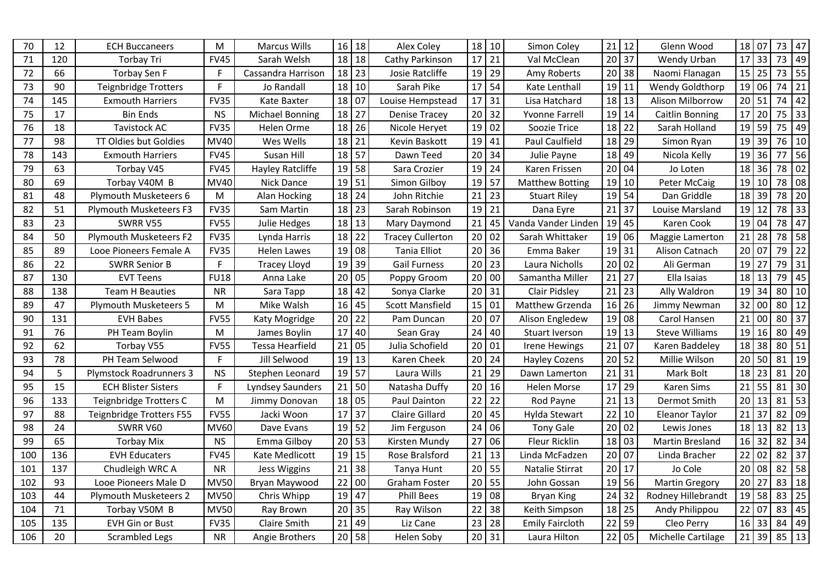| 70  | 12  | <b>ECH Buccaneers</b>           | M           | <b>Marcus Wills</b>     | 16     | 18        | Alex Coley              | 18 | 10 | Simon Coley            | 21 | 12        | Glenn Wood             | 18 | 07      | 73              | 47           |
|-----|-----|---------------------------------|-------------|-------------------------|--------|-----------|-------------------------|----|----|------------------------|----|-----------|------------------------|----|---------|-----------------|--------------|
| 71  | 120 | Torbay Tri                      | <b>FV45</b> | Sarah Welsh             |        | $18$   18 | Cathy Parkinson         | 17 | 21 | Val McClean            | 20 | 37        | Wendy Urban            | 17 | 33      |                 | 73 49        |
| 72  | 66  | Torbay Sen F                    | F           | Cassandra Harrison      | 18     | 23        | Josie Ratcliffe         | 19 | 29 | Amy Roberts            | 20 | 38        | Naomi Flanagan         | 15 | 25      |                 | 73 55        |
| 73  | 90  | <b>Teignbridge Trotters</b>     | F           | Jo Randall              |        | $18$   10 | Sarah Pike              | 17 | 54 | Kate Lenthall          | 19 | 11        | <b>Wendy Goldthorp</b> | 19 | 06      |                 | 74 21        |
| 74  | 145 | <b>Exmouth Harriers</b>         | <b>FV35</b> | Kate Baxter             | 18     | 07        | Louise Hempstead        | 17 | 31 | Lisa Hatchard          | 18 | 13        | Alison Milborrow       | 20 | 51      |                 | 74 42        |
| 75  | 17  | <b>Bin Ends</b>                 | <b>NS</b>   | Michael Bonning         | 18     | 27        | <b>Denise Tracey</b>    | 20 | 32 | Yvonne Farrell         | 19 | 14        | Caitlin Bonning        | 17 | 20      |                 | 75 33        |
| 76  | 18  | Tavistock AC                    | <b>FV35</b> | Helen Orme              | 18     | 26        | Nicole Hervet           | 19 | 02 | Soozie Trice           | 18 | 22        | Sarah Holland          | 19 | 59      |                 | 75 49        |
| 77  | 98  | TT Oldies but Goldies           | MV40        | Wes Wells               | 18     | 21        | Kevin Baskott           | 19 | 41 | Paul Caulfield         | 18 | 29        | Simon Ryan             | 19 | 39      |                 | 76 10        |
| 78  | 143 | <b>Exmouth Harriers</b>         | <b>FV45</b> | Susan Hill              | 18     | 57        | Dawn Teed               | 20 | 34 | Julie Payne            | 18 | 49        | Nicola Kelly           | 19 | 36      | 77              | 156          |
| 79  | 63  | Torbay V45                      | <b>FV45</b> | Hayley Ratcliffe        | 19     | 58        | Sara Crozier            | 19 | 24 | Karen Frissen          | 20 | 04        | Jo Loten               | 18 | 36      |                 | 78 02        |
| 80  | 69  | Torbay V40M B                   | MV40        | Nick Dance              | 19     | 51        | Simon Gilboy            | 19 | 57 | <b>Matthew Botting</b> | 19 | 10        | Peter McCaig           | 19 | 10      |                 | 78 08        |
| 81  | 48  | Plymouth Musketeers 6           | M           | Alan Hocking            | 18     | 24        | John Ritchie            | 21 | 23 | <b>Stuart Riley</b>    | 19 | 54        | Dan Griddle            | 18 | 39      |                 | 78 20        |
| 82  | 51  | Plymouth Musketeers F3          | <b>FV35</b> | Sam Martin              | 18     | 23        | Sarah Robinson          | 19 | 21 | Dana Eyre              | 21 | 37        | Louise Marsland        | 19 | 12      |                 | 78 33        |
| 83  | 23  | SWRR V55                        | <b>FV55</b> | Julie Hedges            | 18     | 13        | Mary Daymond            | 21 | 45 | Vanda Vander Linden    | 19 | 45        | Karen Cook             | 19 | 04      |                 | 78 47        |
| 84  | 50  | Plymouth Musketeers F2          | <b>FV35</b> | Lynda Harris            | 18     | 22        | <b>Tracey Cullerton</b> | 20 | 02 | Sarah Whittaker        | 19 | 06        | Maggie Lamerton        | 21 | 28      |                 | 78 58        |
| 85  | 89  | Looe Pioneers Female A          | <b>FV35</b> | Helen Lawes             | 19     | 08        | <b>Tania Elliot</b>     | 20 | 36 | Emma Baker             | 19 | 31        | Alison Catnach         | 20 | 07      | 79              | 22           |
| 86  | 22  | <b>SWRR Senior B</b>            | F           | <b>Tracey Lloyd</b>     | 19     | 39        | <b>Gail Furness</b>     | 20 | 23 | Laura Nicholls         | 20 | 02        | Ali German             | 19 | 27      | 79              | 31           |
| 87  | 130 | <b>EVT Teens</b>                | <b>FU18</b> | Anna Lake               | 20     | 05        | Poppy Groom             | 20 | 00 | Samantha Miller        | 21 | 27        | Ella Isaias            | 18 | 13      | 79 l            | 45           |
| 88  | 138 | <b>Team H Beauties</b>          | <b>NR</b>   | Sara Tapp               | 18     | 42        | Sonya Clarke            | 20 | 31 | Clair Pidsley          | 21 | 23        | Ally Waldron           | 19 | 34      | 80 <sup>1</sup> | 10           |
| 89  | 47  | <b>Plymouth Musketeers 5</b>    | M           | Mike Walsh              | 16     | 45        | <b>Scott Mansfield</b>  | 15 | 01 | Matthew Grzenda        | 16 | 26        | Jimmy Newman           | 32 | 00      | 80              | 12           |
| 90  | 131 | <b>EVH Babes</b>                | <b>FV55</b> | Katy Mogridge           | $20\,$ | 22        | Pam Duncan              | 20 | 07 | Alison Engledew        | 19 | 08        | Carol Hansen           | 21 | 00      | 80 37           |              |
| 91  | 76  | PH Team Boylin                  | M           | James Boylin            | 17     | 40        | Sean Gray               | 24 | 40 | Stuart Iverson         |    | $19$   13 | <b>Steve Williams</b>  | 19 | 16      |                 | 80 49        |
| 92  | 62  | Torbay V55                      | <b>FV55</b> | Tessa Hearfield         | 21     | 05        | Julia Schofield         | 20 | 01 | <b>Irene Hewings</b>   |    | 21 07     | Karen Baddeley         | 18 | 38      |                 | 80 51        |
| 93  | 78  | <b>PH Team Selwood</b>          | F.          | Jill Selwood            |        | $19$   13 | Karen Cheek             | 20 | 24 | <b>Hayley Cozens</b>   |    | 20 52     | Millie Wilson          | 20 | 50      | 81              | 19           |
| 94  | 5   | <b>Plymstock Roadrunners 3</b>  | <b>NS</b>   | Stephen Leonard         |        | $19$ 57   | Laura Wills             | 21 | 29 | Dawn Lamerton          |    | $21$ 31   | Mark Bolt              | 18 | 23      |                 | $81$   20    |
| 95  | 15  | <b>ECH Blister Sisters</b>      | F           | <b>Lyndsey Saunders</b> |        | $21$ 50   | Natasha Duffy           | 20 | 16 | <b>Helen Morse</b>     | 17 | 29        | Karen Sims             | 21 | 55      |                 | $81$ 30      |
| 96  | 133 | Teignbridge Trotters C          | M           | Jimmy Donovan           | 18     | 05        | Paul Dainton            | 22 | 22 | Rod Payne              | 21 | 13        | Dermot Smith           | 20 | 13      |                 | $81$ 53      |
| 97  | 88  | <b>Teignbridge Trotters F55</b> | <b>FV55</b> | Jacki Woon              | 17     | 37        | Claire Gillard          | 20 | 45 | Hylda Stewart          | 22 | 10        | <b>Eleanor Taylor</b>  | 21 | 37      | 82              | $ 09\rangle$ |
| 98  | 24  | SWRR V60                        | <b>MV60</b> | Dave Evans              |        | $19$ 52   | Jim Ferguson            | 24 | 06 | <b>Tony Gale</b>       | 20 | 02        | Lewis Jones            | 18 | 13      |                 | $82$ 13      |
| 99  | 65  | <b>Torbay Mix</b>               | <b>NS</b>   | Emma Gilboy             | $20\,$ | 53        | Kirsten Mundy           | 27 | 06 | Fleur Ricklin          |    | $18$ 03   | <b>Martin Bresland</b> | 16 | 32      |                 | $82$ 34      |
| 100 | 136 | <b>EVH Educaters</b>            | <b>FV45</b> | Kate Medlicott          |        | 19 15     | Rose Bralsford          | 21 | 13 | Linda McFadzen         | 20 | 07        | Linda Bracher          | 22 | 02      | 82 37           |              |
| 101 | 137 | Chudleigh WRC A                 | <b>NR</b>   | Jess Wiggins            | 21     | 38        | Tanya Hunt              | 20 | 55 | Natalie Stirrat        | 20 | 17        | Jo Cole                | 20 | 08      |                 | $82$ 58      |
| 102 | 93  | Looe Pioneers Male D            | <b>MV50</b> | Bryan Maywood           | $22\,$ | 00        | Graham Foster           | 20 | 55 | John Gossan            |    | 19 56     | <b>Martin Gregory</b>  | 20 | 27      |                 | 83   18      |
| 103 | 44  | <b>Plymouth Musketeers 2</b>    | <b>MV50</b> | Chris Whipp             |        | $19$ 47   | <b>Phill Bees</b>       | 19 | 08 | <b>Bryan King</b>      |    | $24$ 32   | Rodney Hillebrandt     | 19 | 58      |                 | $83$ 25      |
| 104 | 71  | Torbay V50M B                   | <b>MV50</b> | Ray Brown               |        | 20 35     | Ray Wilson              | 22 | 38 | Keith Simpson          |    | 18 25     | Andy Philippou         | 22 | -07     |                 | 83 45        |
| 105 | 135 | <b>EVH Gin or Bust</b>          | <b>FV35</b> | Claire Smith            |        | $21$ 49   | Liz Cane                | 23 | 28 | Emily Faircloth        |    | $22$ 59   | Cleo Perry             |    | $16$ 33 |                 | 84 49        |
| 106 | 20  | <b>Scrambled Legs</b>           | NR.         | Angie Brothers          |        | 20 58     | Helen Soby              | 20 | 31 | Laura Hilton           |    | 22 05     | Michelle Cartilage     | 21 | 39      |                 | $85$   13    |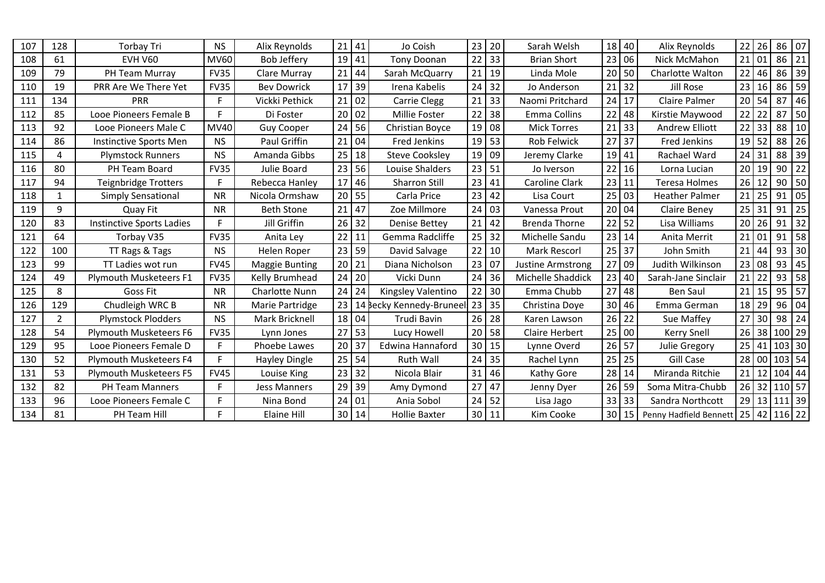| 107 | 128 | <b>Torbay Tri</b>                | <b>NS</b>   | Alix Reynolds         | 21 | 41         | Jo Coish                | 23 | 20 | Sarah Welsh          |    | $18$   40 | Alix Reynolds          | 22 | 26              | 86 07     |                                         |
|-----|-----|----------------------------------|-------------|-----------------------|----|------------|-------------------------|----|----|----------------------|----|-----------|------------------------|----|-----------------|-----------|-----------------------------------------|
| 108 | 61  | <b>EVH V60</b>                   | <b>MV60</b> | Bob Jeffery           | 19 | 41         | <b>Tony Doonan</b>      | 22 | 33 | <b>Brian Short</b>   | 23 | 06        | Nick McMahon           | 21 | 01              | 86        | $\begin{array}{c} 21 \end{array}$       |
| 109 | 79  | PH Team Murray                   | <b>FV35</b> | Clare Murray          | 21 | 44         | Sarah McQuarry          | 21 | 19 | Linda Mole           | 20 | 50        | Charlotte Walton       | 22 | 46              | 86        | 39                                      |
| 110 | 19  | PRR Are We There Yet             | <b>FV35</b> | <b>Bev Dowrick</b>    | 17 | 39         | Irena Kabelis           | 24 | 32 | Jo Anderson          | 21 | 32        | Jill Rose              | 23 | 16              | 86        | 59                                      |
| 111 | 134 | <b>PRR</b>                       | Е           | Vickki Pethick        | 21 | 02         | Carrie Clegg            | 21 | 33 | Naomi Pritchard      | 24 | 17        | Claire Palmer          | 20 | 54              | 87        | 46                                      |
| 112 | 85  | Looe Pioneers Female B           |             | Di Foster             | 20 | 02         | Millie Foster           | 22 | 38 | Emma Collins         | 22 | 48        | Kirstie Maywood        | 22 | 22              | 87        | 50                                      |
| 113 | 92  | Looe Pioneers Male C             | MV40        | Guy Cooper            | 24 | 56         | Christian Boyce         | 19 | 08 | <b>Mick Torres</b>   | 21 | 33        | <b>Andrew Elliott</b>  | 22 | 33              | 88        | 10                                      |
| 114 | 86  | Instinctive Sports Men           | <b>NS</b>   | Paul Griffin          | 21 | 04         | <b>Fred Jenkins</b>     | 19 | 53 | <b>Rob Felwick</b>   | 27 | 37        | Fred Jenkins           | 19 | 52              | 88        | 26                                      |
| 115 | 4   | <b>Plymstock Runners</b>         | <b>NS</b>   | Amanda Gibbs          | 25 | 18         | <b>Steve Cooksley</b>   | 19 | 09 | Jeremy Clarke        | 19 | 41        | Rachael Ward           | 24 | 31              | 88        | 39                                      |
| 116 | 80  | PH Team Board                    | <b>FV35</b> | Julie Board           | 23 | 56         | <b>Louise Shalders</b>  | 23 | 51 | Jo Iverson           | 22 | 16        | Lorna Lucian           | 20 | 19              | 90        | 22                                      |
| 117 | 94  | Teignbridge Trotters             | F           | Rebecca Hanley        | 17 | 46         | <b>Sharron Still</b>    | 23 | 41 | Caroline Clark       | 23 | 11        | Teresa Holmes          | 26 | 12              | 90        | 50                                      |
| 118 | 1   | <b>Simply Sensational</b>        | <b>NR</b>   | Nicola Ormshaw        | 20 | 55         | Carla Price             | 23 | 42 | Lisa Court           |    | 25 03     | <b>Heather Palmer</b>  | 21 | 25              | 91        | $\overline{05}$                         |
| 119 | 9   | Quay Fit                         | <b>NR</b>   | <b>Beth Stone</b>     | 21 | 47         | Zoe Millmore            | 24 | 03 | Vanessa Prout        | 20 | 04        | Claire Beney           | 25 | 31              | 91        | 25                                      |
| 120 | 83  | <b>Instinctive Sports Ladies</b> | F           | Jill Griffin          | 26 | 32         | Denise Bettey           | 21 | 42 | <b>Brenda Thorne</b> | 22 | 52        | Lisa Williams          | 20 | 26              | 91        | 32                                      |
| 121 | 64  | Torbay V35                       | <b>FV35</b> | Anita Ley             | 22 | $\vert$ 11 | Gemma Radcliffe         | 25 | 32 | Michelle Sandu       |    | 23 14     | Anita Merrit           | 21 | 01              | 91        | 58                                      |
| 122 | 100 | TT Rags & Tags                   | <b>NS</b>   | Helen Roper           | 23 | 59         | David Salvage           | 22 | 10 | Mark Rescorl         | 25 | 37        | John Smith             | 21 | 44              | 93        | $\begin{array}{c} 30 \\ -3 \end{array}$ |
| 123 | 99  | TT Ladies wot run                | <b>FV45</b> | <b>Maggie Bunting</b> | 20 | 21         | Diana Nicholson         | 23 | 07 | Justine Armstrong    | 27 | 09        | Judith Wilkinson       | 23 | 08              | 93        | 45                                      |
| 124 | 49  | Plymouth Musketeers F1           | <b>FV35</b> | Kelly Brumhead        | 24 | 20         | Vicki Dunn              | 24 | 36 | Michelle Shaddick    | 23 | 40        | Sarah-Jane Sinclair    | 21 | 22              | 93        | 58                                      |
| 125 | 8   | Goss Fit                         | <b>NR</b>   | <b>Charlotte Nunn</b> | 24 | 24         | Kingsley Valentino      | 22 | 30 | Emma Chubb           | 27 | 48        | <b>Ben Saul</b>        | 21 | 15              | 95        | 57                                      |
| 126 | 129 | Chudleigh WRC B                  | <b>NR</b>   | Marie Partridge       | 23 | 14         | Becky Kennedy-Bruneel   | 23 | 35 | Christina Doye       | 30 | 46        | Emma German            | 18 | 29              | 96        | 04                                      |
| 127 | 2   | <b>Plymstock Plodders</b>        | <b>NS</b>   | Mark Bricknell        | 18 | 04         | <b>Trudi Bavin</b>      | 26 | 28 | Karen Lawson         | 26 | 22        | Sue Maffey             | 27 | 30              | 98        | 24                                      |
| 128 | 54  | <b>Plymouth Musketeers F6</b>    | <b>FV35</b> | Lynn Jones            | 27 | 53         | Lucy Howell             | 20 | 58 | Claire Herbert       |    | 25 00     | Kerry Snell            | 26 | 38              | 100 29    |                                         |
| 129 | 95  | Looe Pioneers Female D           | F           | Phoebe Lawes          | 20 | 37         | <b>Edwina Hannaford</b> | 30 | 15 | Lynne Overd          |    | $26$ 57   | Julie Gregory          | 25 | 41              | 103 30    |                                         |
| 130 | 52  | Plymouth Musketeers F4           | F           | Hayley Dingle         | 25 | 54         | <b>Ruth Wall</b>        | 24 | 35 | Rachel Lynn          | 25 | 25        | <b>Gill Case</b>       | 28 | 00              | 103 54    |                                         |
| 131 | 53  | Plymouth Musketeers F5           | <b>FV45</b> | Louise King           | 23 | 32         | Nicola Blair            | 31 | 46 | Kathy Gore           | 28 | 14        | Miranda Ritchie        | 21 | 12 <sub>1</sub> | $104$ 44  |                                         |
| 132 | 82  | <b>PH Team Manners</b>           | F           | <b>Jess Manners</b>   | 29 | 39         | Amy Dymond              | 27 | 47 | Jenny Dyer           |    | 26 59     | Soma Mitra-Chubb       | 26 | 32              | 110 57    |                                         |
| 133 | 96  | Looe Pioneers Female C           | F           | Nina Bond             | 24 | 01         | Ania Sobol              | 24 | 52 | Lisa Jago            | 33 | 33        | Sandra Northcott       | 29 | 13              | $111$ 39  |                                         |
| 134 | 81  | PH Team Hill                     |             | <b>Elaine Hill</b>    |    | 30 14      | <b>Hollie Baxter</b>    | 30 | 11 | Kim Cooke            |    | 30 15     | Penny Hadfield Bennett | 25 |                 | 42 116 22 |                                         |